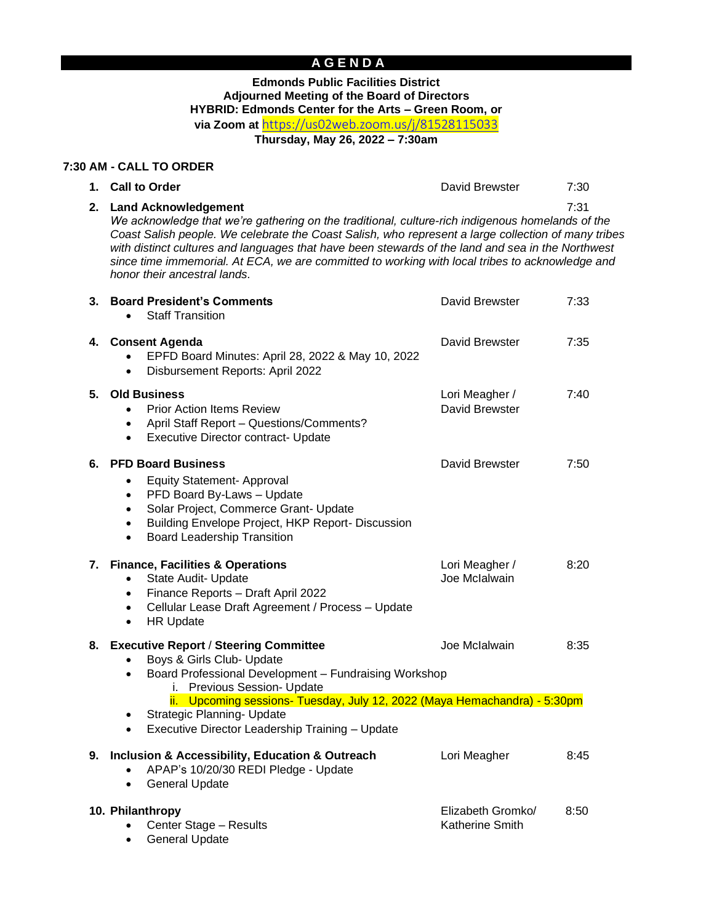# **A G E N D A**

## **Edmonds Public Facilities District Adjourned Meeting of the Board of Directors HYBRID: Edmonds Center for the Arts – Green Room, or via Zoom at** <https://us02web.zoom.us/j/81528115033>

**Thursday, May 26, 2022 – 7:30am**

#### **7:30 AM - CALL TO ORDER**

**1. Call to Order** David Brewster 7:30

**2. Land Acknowledgement** 7:31 *We acknowledge that we're gathering on the traditional, culture-rich indigenous homelands of the Coast Salish people. We celebrate the Coast Salish, who represent a large collection of many tribes*  with distinct cultures and languages that have been stewards of the land and sea in the Northwest *since time immemorial. At ECA, we are committed to working with local tribes to acknowledge and honor their ancestral lands.*

| 3. | <b>Board President's Comments</b><br><b>Staff Transition</b>                                                                                                                                                                                                                                                                                                                | David Brewster                              | 7:33 |
|----|-----------------------------------------------------------------------------------------------------------------------------------------------------------------------------------------------------------------------------------------------------------------------------------------------------------------------------------------------------------------------------|---------------------------------------------|------|
|    | 4. Consent Agenda<br>EPFD Board Minutes: April 28, 2022 & May 10, 2022<br>Disbursement Reports: April 2022<br>$\bullet$                                                                                                                                                                                                                                                     | David Brewster                              | 7:35 |
| 5. | <b>Old Business</b><br><b>Prior Action Items Review</b><br>$\bullet$<br>April Staff Report - Questions/Comments?<br>$\bullet$<br><b>Executive Director contract- Update</b><br>$\bullet$                                                                                                                                                                                    | Lori Meagher /<br>David Brewster            | 7:40 |
|    | 6. PFD Board Business<br><b>Equity Statement- Approval</b><br>PFD Board By-Laws - Update<br>$\bullet$<br>Solar Project, Commerce Grant- Update<br>$\bullet$<br>Building Envelope Project, HKP Report- Discussion<br>$\bullet$<br><b>Board Leadership Transition</b><br>$\bullet$                                                                                            | David Brewster                              | 7:50 |
|    | 7. Finance, Facilities & Operations<br>State Audit- Update<br>$\bullet$<br>Finance Reports - Draft April 2022<br>$\bullet$<br>Cellular Lease Draft Agreement / Process - Update<br>$\bullet$<br><b>HR Update</b><br>$\bullet$                                                                                                                                               | Lori Meagher /<br>Joe Mclalwain             | 8:20 |
| 8. | <b>Executive Report / Steering Committee</b><br>Boys & Girls Club- Update<br>$\bullet$<br>Board Professional Development - Fundraising Workshop<br>$\bullet$<br>i. Previous Session- Update<br>ii. Upcoming sessions- Tuesday, July 12, 2022 (Maya Hemachandra) - 5:30pm<br>Strategic Planning- Update<br>٠<br>Executive Director Leadership Training - Update<br>$\bullet$ | Joe Mclalwain                               | 8:35 |
|    | 9. Inclusion & Accessibility, Education & Outreach<br>APAP's 10/20/30 REDI Pledge - Update<br><b>General Update</b><br>$\bullet$                                                                                                                                                                                                                                            | Lori Meagher                                | 8:45 |
|    | 10. Philanthropy<br>Center Stage - Results<br><b>General Update</b><br>٠                                                                                                                                                                                                                                                                                                    | Elizabeth Gromko/<br><b>Katherine Smith</b> | 8:50 |